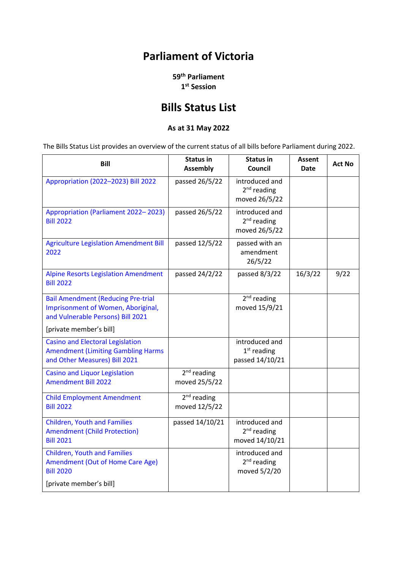## **Parliament of Victoria**

**59th Parliament 1st Session**

## **Bills Status List**

## **As at 31 May 2022**

The Bills Status List provides an overview of the current status of all bills before Parliament during 2022.

| Bill                                                                                                                  | <b>Status in</b><br><b>Assembly</b> | <b>Status in</b><br>Council                        | Assent<br>Date | <b>Act No</b> |
|-----------------------------------------------------------------------------------------------------------------------|-------------------------------------|----------------------------------------------------|----------------|---------------|
| Appropriation (2022-2023) Bill 2022                                                                                   | passed 26/5/22                      | introduced and<br>$2nd$ reading<br>moved 26/5/22   |                |               |
| Appropriation (Parliament 2022-2023)<br><b>Bill 2022</b>                                                              | passed 26/5/22                      | introduced and<br>$2nd$ reading<br>moved 26/5/22   |                |               |
| <b>Agriculture Legislation Amendment Bill</b><br>2022                                                                 | passed 12/5/22                      | passed with an<br>amendment<br>26/5/22             |                |               |
| <b>Alpine Resorts Legislation Amendment</b><br><b>Bill 2022</b>                                                       | passed 24/2/22                      | passed 8/3/22                                      | 16/3/22        | 9/22          |
| <b>Bail Amendment (Reducing Pre-trial</b><br>Imprisonment of Women, Aboriginal,<br>and Vulnerable Persons) Bill 2021  |                                     | $2nd$ reading<br>moved 15/9/21                     |                |               |
| [private member's bill]                                                                                               |                                     |                                                    |                |               |
| <b>Casino and Electoral Legislation</b><br><b>Amendment (Limiting Gambling Harms</b><br>and Other Measures) Bill 2021 |                                     | introduced and<br>$1st$ reading<br>passed 14/10/21 |                |               |
| <b>Casino and Liquor Legislation</b><br><b>Amendment Bill 2022</b>                                                    | $2nd$ reading<br>moved 25/5/22      |                                                    |                |               |
| <b>Child Employment Amendment</b><br><b>Bill 2022</b>                                                                 | $2nd$ reading<br>moved 12/5/22      |                                                    |                |               |
| <b>Children, Youth and Families</b><br><b>Amendment (Child Protection)</b><br><b>Bill 2021</b>                        | passed 14/10/21                     | introduced and<br>$2nd$ reading<br>moved 14/10/21  |                |               |
| <b>Children, Youth and Families</b><br>Amendment (Out of Home Care Age)<br><b>Bill 2020</b>                           |                                     | introduced and<br>$2nd$ reading<br>moved 5/2/20    |                |               |
| [private member's bill]                                                                                               |                                     |                                                    |                |               |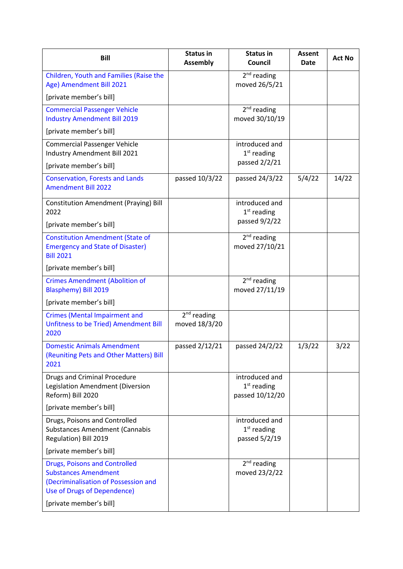| Children, Youth and Families (Raise the<br>Age) Amendment Bill 2021<br>[private member's bill]<br><b>Commercial Passenger Vehicle</b><br><b>Industry Amendment Bill 2019</b><br>[private member's bill]<br><b>Commercial Passenger Vehicle</b><br>Industry Amendment Bill 2021<br>[private member's bill]<br><b>Conservation, Forests and Lands</b><br><b>Amendment Bill 2022</b> | <b>Status in</b><br><b>Assembly</b> | <b>Status in</b><br>Council                        | Assent<br><b>Date</b> | <b>Act No</b> |
|-----------------------------------------------------------------------------------------------------------------------------------------------------------------------------------------------------------------------------------------------------------------------------------------------------------------------------------------------------------------------------------|-------------------------------------|----------------------------------------------------|-----------------------|---------------|
|                                                                                                                                                                                                                                                                                                                                                                                   |                                     | $2nd$ reading<br>moved 26/5/21                     |                       |               |
|                                                                                                                                                                                                                                                                                                                                                                                   |                                     |                                                    |                       |               |
|                                                                                                                                                                                                                                                                                                                                                                                   |                                     | $2nd$ reading<br>moved 30/10/19                    |                       |               |
|                                                                                                                                                                                                                                                                                                                                                                                   |                                     |                                                    |                       |               |
|                                                                                                                                                                                                                                                                                                                                                                                   |                                     | introduced and<br>$1st$ reading                    |                       |               |
|                                                                                                                                                                                                                                                                                                                                                                                   |                                     | passed 2/2/21                                      |                       |               |
|                                                                                                                                                                                                                                                                                                                                                                                   | passed 10/3/22                      | passed 24/3/22                                     | 5/4/22                | 14/22         |
| <b>Constitution Amendment (Praying) Bill</b><br>2022                                                                                                                                                                                                                                                                                                                              |                                     | introduced and<br>$1st$ reading                    |                       |               |
| [private member's bill]                                                                                                                                                                                                                                                                                                                                                           |                                     | passed 9/2/22                                      |                       |               |
| <b>Constitution Amendment (State of</b><br><b>Emergency and State of Disaster)</b><br><b>Bill 2021</b>                                                                                                                                                                                                                                                                            |                                     | $2nd$ reading<br>moved 27/10/21                    |                       |               |
| [private member's bill]                                                                                                                                                                                                                                                                                                                                                           |                                     |                                                    |                       |               |
| <b>Crimes Amendment (Abolition of</b><br><b>Blasphemy) Bill 2019</b>                                                                                                                                                                                                                                                                                                              |                                     | $2nd$ reading<br>moved 27/11/19                    |                       |               |
| [private member's bill]                                                                                                                                                                                                                                                                                                                                                           |                                     |                                                    |                       |               |
| <b>Crimes (Mental Impairment and</b><br>Unfitness to be Tried) Amendment Bill<br>2020                                                                                                                                                                                                                                                                                             | $2nd$ reading<br>moved 18/3/20      |                                                    |                       |               |
| <b>Domestic Animals Amendment</b><br>(Reuniting Pets and Other Matters) Bill<br>2021                                                                                                                                                                                                                                                                                              | passed 2/12/21                      | passed 24/2/22                                     | 1/3/22                | 3/22          |
| <b>Drugs and Criminal Procedure</b><br>Legislation Amendment (Diversion<br>Reform) Bill 2020                                                                                                                                                                                                                                                                                      |                                     | introduced and<br>$1st$ reading<br>passed 10/12/20 |                       |               |
| [private member's bill]                                                                                                                                                                                                                                                                                                                                                           |                                     |                                                    |                       |               |
| Drugs, Poisons and Controlled<br><b>Substances Amendment (Cannabis</b><br>Regulation) Bill 2019                                                                                                                                                                                                                                                                                   |                                     | introduced and<br>$1st$ reading<br>passed 5/2/19   |                       |               |
| [private member's bill]                                                                                                                                                                                                                                                                                                                                                           |                                     |                                                    |                       |               |
| <b>Drugs, Poisons and Controlled</b><br><b>Substances Amendment</b><br>(Decriminalisation of Possession and<br>Use of Drugs of Dependence)<br>[private member's bill]                                                                                                                                                                                                             |                                     | $2nd$ reading                                      |                       |               |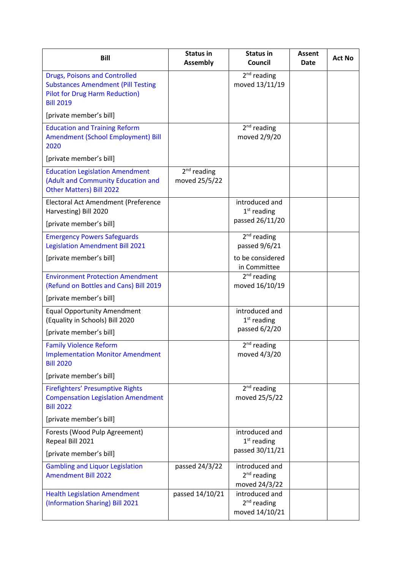| <b>Bill</b>                                                                                                                                    | Status in<br><b>Assembly</b>   | <b>Status in</b><br>Council                       | Assent<br><b>Date</b> | Act No |
|------------------------------------------------------------------------------------------------------------------------------------------------|--------------------------------|---------------------------------------------------|-----------------------|--------|
| <b>Drugs, Poisons and Controlled</b><br><b>Substances Amendment (Pill Testing</b><br><b>Pilot for Drug Harm Reduction)</b><br><b>Bill 2019</b> |                                | $2nd$ reading<br>moved 13/11/19                   |                       |        |
| [private member's bill]                                                                                                                        |                                |                                                   |                       |        |
| <b>Education and Training Reform</b><br>Amendment (School Employment) Bill<br>2020                                                             |                                | $2nd$ reading<br>moved 2/9/20                     |                       |        |
| [private member's bill]                                                                                                                        |                                |                                                   |                       |        |
| <b>Education Legislation Amendment</b><br>(Adult and Community Education and<br><b>Other Matters) Bill 2022</b>                                | $2nd$ reading<br>moved 25/5/22 |                                                   |                       |        |
| Electoral Act Amendment (Preference<br>Harvesting) Bill 2020                                                                                   |                                | introduced and<br>$1st$ reading                   |                       |        |
| [private member's bill]                                                                                                                        |                                | passed 26/11/20                                   |                       |        |
| <b>Emergency Powers Safeguards</b><br><b>Legislation Amendment Bill 2021</b>                                                                   |                                | $2nd$ reading<br>passed 9/6/21                    |                       |        |
| [private member's bill]                                                                                                                        |                                | to be considered<br>in Committee                  |                       |        |
| <b>Environment Protection Amendment</b><br>(Refund on Bottles and Cans) Bill 2019                                                              |                                | $2nd$ reading<br>moved 16/10/19                   |                       |        |
| [private member's bill]                                                                                                                        |                                |                                                   |                       |        |
| <b>Equal Opportunity Amendment</b><br>(Equality in Schools) Bill 2020                                                                          |                                | introduced and<br>$1st$ reading                   |                       |        |
| [private member's bill]                                                                                                                        |                                | passed 6/2/20                                     |                       |        |
| <b>Family Violence Reform</b><br><b>Implementation Monitor Amendment</b><br><b>Bill 2020</b>                                                   |                                | $2nd$ reading<br>moved 4/3/20                     |                       |        |
| [private member's bill]                                                                                                                        |                                |                                                   |                       |        |
| <b>Firefighters' Presumptive Rights</b><br><b>Compensation Legislation Amendment</b><br><b>Bill 2022</b>                                       |                                | $2nd$ reading<br>moved 25/5/22                    |                       |        |
| [private member's bill]                                                                                                                        |                                |                                                   |                       |        |
| Forests (Wood Pulp Agreement)<br>Repeal Bill 2021                                                                                              |                                | introduced and<br>$1st$ reading                   |                       |        |
| [private member's bill]                                                                                                                        |                                | passed 30/11/21                                   |                       |        |
| <b>Gambling and Liquor Legislation</b><br><b>Amendment Bill 2022</b>                                                                           | passed 24/3/22                 | introduced and<br>$2nd$ reading<br>moved 24/3/22  |                       |        |
| <b>Health Legislation Amendment</b><br>(Information Sharing) Bill 2021                                                                         | passed 14/10/21                | introduced and<br>$2nd$ reading<br>moved 14/10/21 |                       |        |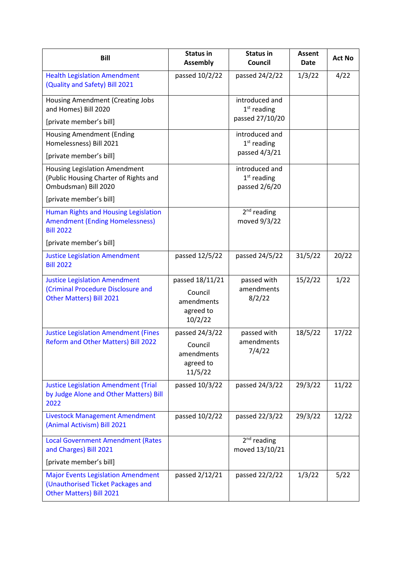| <b>Bill</b>                                                                                                | <b>Status in</b><br><b>Assembly</b>                              | <b>Status in</b><br>Council                        | Assent<br><b>Date</b> | <b>Act No</b> |
|------------------------------------------------------------------------------------------------------------|------------------------------------------------------------------|----------------------------------------------------|-----------------------|---------------|
| <b>Health Legislation Amendment</b><br>(Quality and Safety) Bill 2021                                      | passed 10/2/22                                                   | passed 24/2/22                                     | 1/3/22                | 4/22          |
| <b>Housing Amendment (Creating Jobs</b><br>and Homes) Bill 2020                                            |                                                                  | introduced and<br>$1st$ reading<br>passed 27/10/20 |                       |               |
| [private member's bill]                                                                                    |                                                                  |                                                    |                       |               |
| <b>Housing Amendment (Ending</b><br>Homelessness) Bill 2021                                                |                                                                  | introduced and<br>$1st$ reading                    |                       |               |
| [private member's bill]                                                                                    |                                                                  | passed 4/3/21                                      |                       |               |
| <b>Housing Legislation Amendment</b><br>(Public Housing Charter of Rights and<br>Ombudsman) Bill 2020      |                                                                  | introduced and<br>$1st$ reading<br>passed 2/6/20   |                       |               |
| [private member's bill]                                                                                    |                                                                  |                                                    |                       |               |
| Human Rights and Housing Legislation<br><b>Amendment (Ending Homelessness)</b><br><b>Bill 2022</b>         |                                                                  | $2nd$ reading<br>moved 9/3/22                      |                       |               |
| [private member's bill]                                                                                    |                                                                  |                                                    |                       |               |
| <b>Justice Legislation Amendment</b><br><b>Bill 2022</b>                                                   | passed 12/5/22                                                   | passed 24/5/22                                     | 31/5/22               | 20/22         |
| <b>Justice Legislation Amendment</b><br>(Criminal Procedure Disclosure and<br>Other Matters) Bill 2021     | passed 18/11/21<br>Council<br>amendments<br>agreed to<br>10/2/22 | passed with<br>amendments<br>8/2/22                | 15/2/22               | 1/22          |
| <b>Justice Legislation Amendment (Fines</b><br>Reform and Other Matters) Bill 2022                         | passed 24/3/22<br>Council<br>amendments<br>agreed to<br>11/5/22  | passed with<br>amendments<br>7/4/22                | 18/5/22               | 17/22         |
| <b>Justice Legislation Amendment (Trial</b><br>by Judge Alone and Other Matters) Bill<br>2022              | passed 10/3/22                                                   | passed 24/3/22                                     | 29/3/22               | 11/22         |
| <b>Livestock Management Amendment</b><br>(Animal Activism) Bill 2021                                       | passed 10/2/22                                                   | passed 22/3/22                                     | 29/3/22               | 12/22         |
| <b>Local Government Amendment (Rates</b><br>and Charges) Bill 2021                                         |                                                                  | $2nd$ reading<br>moved 13/10/21                    |                       |               |
| [private member's bill]                                                                                    |                                                                  |                                                    |                       |               |
| <b>Major Events Legislation Amendment</b><br>(Unauthorised Ticket Packages and<br>Other Matters) Bill 2021 | passed 2/12/21                                                   | passed 22/2/22                                     | 1/3/22                | 5/22          |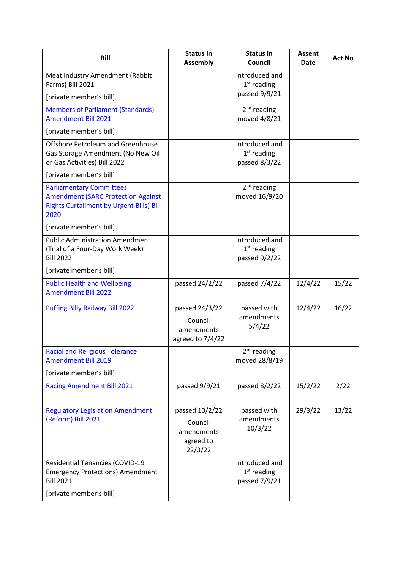| <b>Bill</b>                                                                                                                             | <b>Status in</b><br><b>Assembly</b>                             | <b>Status in</b><br>Council                      | Assent<br><b>Date</b> | <b>Act No</b> |
|-----------------------------------------------------------------------------------------------------------------------------------------|-----------------------------------------------------------------|--------------------------------------------------|-----------------------|---------------|
| Meat Industry Amendment (Rabbit<br>Farms) Bill 2021                                                                                     |                                                                 | introduced and<br>$1st$ reading                  |                       |               |
| [private member's bill]                                                                                                                 |                                                                 | passed 9/9/21                                    |                       |               |
| <b>Members of Parliament (Standards)</b><br><b>Amendment Bill 2021</b>                                                                  |                                                                 | $2nd$ reading<br>moved 4/8/21                    |                       |               |
| [private member's bill]                                                                                                                 |                                                                 |                                                  |                       |               |
| Offshore Petroleum and Greenhouse<br>Gas Storage Amendment (No New Oil<br>or Gas Activities) Bill 2022                                  |                                                                 | introduced and<br>$1st$ reading<br>passed 8/3/22 |                       |               |
| [private member's bill]                                                                                                                 |                                                                 |                                                  |                       |               |
| <b>Parliamentary Committees</b><br><b>Amendment (SARC Protection Against</b><br><b>Rights Curtailment by Urgent Bills) Bill</b><br>2020 |                                                                 | $2nd$ reading<br>moved 16/9/20                   |                       |               |
| [private member's bill]                                                                                                                 |                                                                 |                                                  |                       |               |
| <b>Public Administration Amendment</b><br>(Trial of a Four-Day Work Week)<br><b>Bill 2022</b>                                           |                                                                 | introduced and<br>$1st$ reading<br>passed 9/2/22 |                       |               |
| [private member's bill]                                                                                                                 |                                                                 |                                                  |                       |               |
| <b>Public Health and Wellbeing</b><br><b>Amendment Bill 2022</b>                                                                        | passed 24/2/22                                                  | passed 7/4/22                                    | 12/4/22               | 15/22         |
| <b>Puffing Billy Railway Bill 2022</b>                                                                                                  | passed 24/3/22<br>Council<br>amendments<br>agreed to 7/4/22     | passed with<br>amendments<br>5/4/22              | 12/4/22               | 16/22         |
| <b>Racial and Religious Tolerance</b><br><b>Amendment Bill 2019</b>                                                                     |                                                                 | $2nd$ reading<br>moved 28/8/19                   |                       |               |
| [private member's bill]                                                                                                                 |                                                                 |                                                  |                       |               |
| <b>Racing Amendment Bill 2021</b>                                                                                                       | passed 9/9/21                                                   | passed 8/2/22                                    | 15/2/22               | 2/22          |
| <b>Regulatory Legislation Amendment</b><br>(Reform) Bill 2021                                                                           | passed 10/2/22<br>Council<br>amendments<br>agreed to<br>22/3/22 | passed with<br>amendments<br>10/3/22             | 29/3/22               | 13/22         |
| <b>Residential Tenancies (COVID-19</b><br><b>Emergency Protections) Amendment</b><br><b>Bill 2021</b>                                   |                                                                 | introduced and<br>$1st$ reading<br>passed 7/9/21 |                       |               |
| [private member's bill]                                                                                                                 |                                                                 |                                                  |                       |               |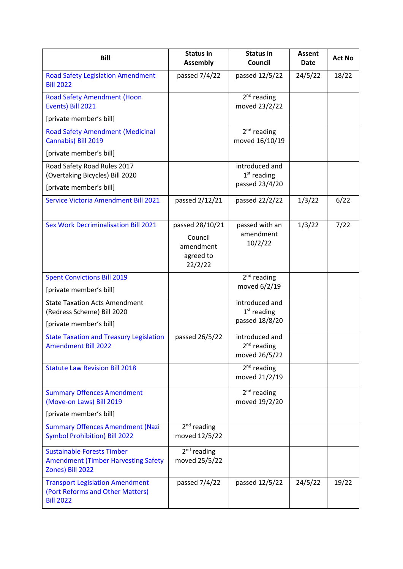| <b>Bill</b>                                                                                         | <b>Status in</b><br><b>Assembly</b>                             | <b>Status in</b><br>Council                                | <b>Assent</b><br><b>Date</b> | <b>Act No</b> |
|-----------------------------------------------------------------------------------------------------|-----------------------------------------------------------------|------------------------------------------------------------|------------------------------|---------------|
| <b>Road Safety Legislation Amendment</b><br><b>Bill 2022</b>                                        | passed 7/4/22                                                   | passed 12/5/22                                             | 24/5/22                      | 18/22         |
| <b>Road Safety Amendment (Hoon</b><br>Events) Bill 2021                                             |                                                                 | $2nd$ reading<br>moved 23/2/22                             |                              |               |
| [private member's bill]                                                                             |                                                                 |                                                            |                              |               |
| <b>Road Safety Amendment (Medicinal</b><br>Cannabis) Bill 2019                                      |                                                                 | $2nd$ reading<br>moved 16/10/19                            |                              |               |
| [private member's bill]                                                                             |                                                                 |                                                            |                              |               |
| Road Safety Road Rules 2017<br>(Overtaking Bicycles) Bill 2020                                      |                                                                 | introduced and<br>$1st$ reading                            |                              |               |
| [private member's bill]                                                                             |                                                                 | passed 23/4/20                                             |                              |               |
| Service Victoria Amendment Bill 2021                                                                | passed 2/12/21                                                  | passed 22/2/22                                             | 1/3/22                       | 6/22          |
| <b>Sex Work Decriminalisation Bill 2021</b>                                                         | passed 28/10/21<br>Council<br>amendment<br>agreed to<br>22/2/22 | passed with an<br>amendment<br>10/2/22                     | 1/3/22                       | 7/22          |
| <b>Spent Convictions Bill 2019</b>                                                                  |                                                                 | $2nd$ reading                                              |                              |               |
| [private member's bill]                                                                             |                                                                 | moved 6/2/19                                               |                              |               |
| <b>State Taxation Acts Amendment</b><br>(Redress Scheme) Bill 2020                                  |                                                                 | introduced and<br>$1st$ reading                            |                              |               |
| [private member's bill]                                                                             |                                                                 | passed 18/8/20                                             |                              |               |
| <b>State Taxation and Treasury Legislation</b><br><b>Amendment Bill 2022</b>                        | passed 26/5/22                                                  | introduced and<br>2 <sup>nd</sup> reading<br>moved 26/5/22 |                              |               |
| <b>Statute Law Revision Bill 2018</b>                                                               |                                                                 | $2nd$ reading<br>moved 21/2/19                             |                              |               |
| <b>Summary Offences Amendment</b><br>(Move-on Laws) Bill 2019                                       |                                                                 | $2nd$ reading<br>moved 19/2/20                             |                              |               |
| [private member's bill]                                                                             |                                                                 |                                                            |                              |               |
| <b>Summary Offences Amendment (Nazi</b><br><b>Symbol Prohibition) Bill 2022</b>                     | $2nd$ reading<br>moved 12/5/22                                  |                                                            |                              |               |
| <b>Sustainable Forests Timber</b><br><b>Amendment (Timber Harvesting Safety</b><br>Zones) Bill 2022 | $2nd$ reading<br>moved 25/5/22                                  |                                                            |                              |               |
| <b>Transport Legislation Amendment</b><br>(Port Reforms and Other Matters)<br><b>Bill 2022</b>      | passed 7/4/22                                                   | passed 12/5/22                                             | 24/5/22                      | 19/22         |